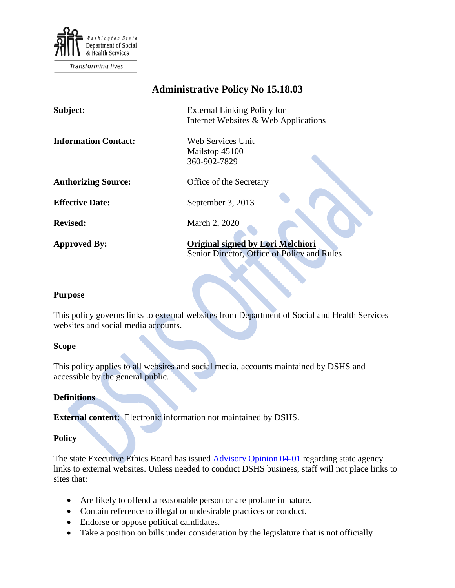

Transforming lives

# **Administrative Policy No 15.18.03**

| Subject:                    | <b>External Linking Policy for</b><br>Internet Websites & Web Applications              |
|-----------------------------|-----------------------------------------------------------------------------------------|
| <b>Information Contact:</b> | Web Services Unit<br>Mailstop 45100<br>360-902-7829                                     |
| <b>Authorizing Source:</b>  | Office of the Secretary                                                                 |
| <b>Effective Date:</b>      | September 3, 2013                                                                       |
| <b>Revised:</b>             | March 2, 2020                                                                           |
| <b>Approved By:</b>         | <b>Original signed by Lori Melchiori</b><br>Senior Director, Office of Policy and Rules |

#### **Purpose**

This policy governs links to external websites from Department of Social and Health Services websites and social media accounts.

 $\mathcal{L} = \{ \mathcal{L} \mid \mathcal{L} \in \mathcal{L} \}$  , where  $\mathcal{L} = \{ \mathcal{L} \mid \mathcal{L} \in \mathcal{L} \}$  , where  $\mathcal{L} = \{ \mathcal{L} \mid \mathcal{L} \in \mathcal{L} \}$ 

#### **Scope**

This policy applies to all websites and social media, accounts maintained by DSHS and accessible by the general public.

#### **Definitions**

**External content:** Electronic information not maintained by DSHS.

### **Policy**

The state Executive Ethics Board has issued **Advisory Opinion 04-01** regarding state agency links to external websites. Unless needed to conduct DSHS business, staff will not place links to sites that:

- Are likely to offend a reasonable person or are profane in nature.
- Contain reference to illegal or undesirable practices or conduct.
- Endorse or oppose political candidates.
- Take a position on bills under consideration by the legislature that is not officially